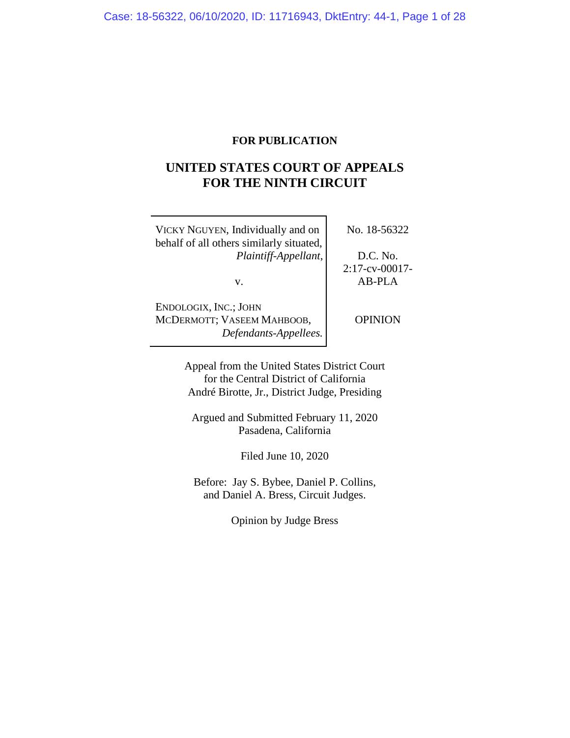# **FOR PUBLICATION**

# **UNITED STATES COURT OF APPEALS FOR THE NINTH CIRCUIT**

| VICKY NGUYEN, Individually and on<br>behalf of all others similarly situated, | No. 18-56322                   |
|-------------------------------------------------------------------------------|--------------------------------|
| Plaintiff-Appellant,                                                          | D.C. No.                       |
| V.                                                                            | $2:17$ -cv-00017-<br>$AB-PI.A$ |
| ENDOLOGIX, INC.; JOHN<br>MCDERMOTT; VASEEM MAHBOOB,<br>Defendants-Appellees.  | <b>OPINION</b>                 |

Appeal from the United States District Court for the Central District of California André Birotte, Jr., District Judge, Presiding

Argued and Submitted February 11, 2020 Pasadena, California

Filed June 10, 2020

Before: Jay S. Bybee, Daniel P. Collins, and Daniel A. Bress, Circuit Judges.

Opinion by Judge Bress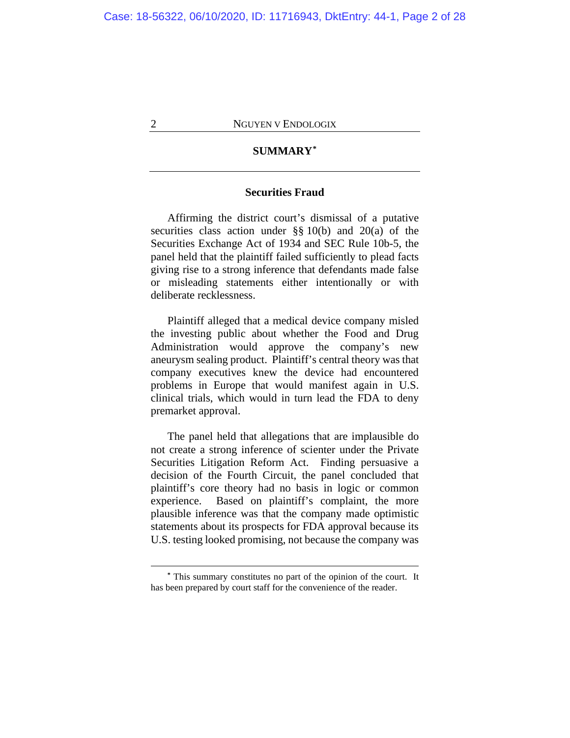# **SUMMARY\***

# **Securities Fraud**

Affirming the district court's dismissal of a putative securities class action under §§ 10(b) and 20(a) of the Securities Exchange Act of 1934 and SEC Rule 10b-5, the panel held that the plaintiff failed sufficiently to plead facts giving rise to a strong inference that defendants made false or misleading statements either intentionally or with deliberate recklessness.

Plaintiff alleged that a medical device company misled the investing public about whether the Food and Drug Administration would approve the company's new aneurysm sealing product. Plaintiff's central theory was that company executives knew the device had encountered problems in Europe that would manifest again in U.S. clinical trials, which would in turn lead the FDA to deny premarket approval.

The panel held that allegations that are implausible do not create a strong inference of scienter under the Private Securities Litigation Reform Act. Finding persuasive a decision of the Fourth Circuit, the panel concluded that plaintiff's core theory had no basis in logic or common experience. Based on plaintiff's complaint, the more plausible inference was that the company made optimistic statements about its prospects for FDA approval because its U.S. testing looked promising, not because the company was

**<sup>\*</sup>** This summary constitutes no part of the opinion of the court. It has been prepared by court staff for the convenience of the reader.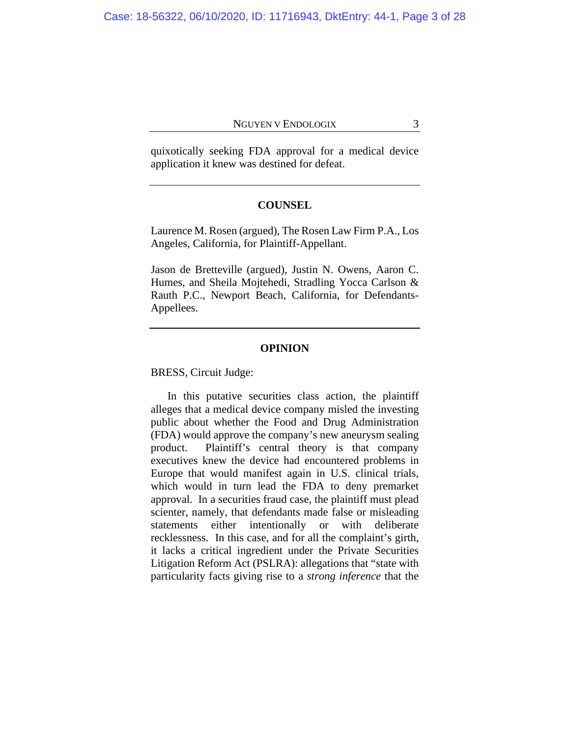quixotically seeking FDA approval for a medical device application it knew was destined for defeat.

# **COUNSEL**

Laurence M. Rosen (argued), The Rosen Law Firm P.A., Los Angeles, California, for Plaintiff-Appellant.

Jason de Bretteville (argued), Justin N. Owens, Aaron C. Humes, and Sheila Mojtehedi, Stradling Yocca Carlson & Rauth P.C., Newport Beach, California, for Defendants-Appellees.

# **OPINION**

BRESS, Circuit Judge:

In this putative securities class action, the plaintiff alleges that a medical device company misled the investing public about whether the Food and Drug Administration (FDA) would approve the company's new aneurysm sealing product. Plaintiff's central theory is that company executives knew the device had encountered problems in Europe that would manifest again in U.S. clinical trials, which would in turn lead the FDA to deny premarket approval. In a securities fraud case, the plaintiff must plead scienter, namely, that defendants made false or misleading statements either intentionally or with deliberate recklessness. In this case, and for all the complaint's girth, it lacks a critical ingredient under the Private Securities Litigation Reform Act (PSLRA): allegations that "state with particularity facts giving rise to a *strong inference* that the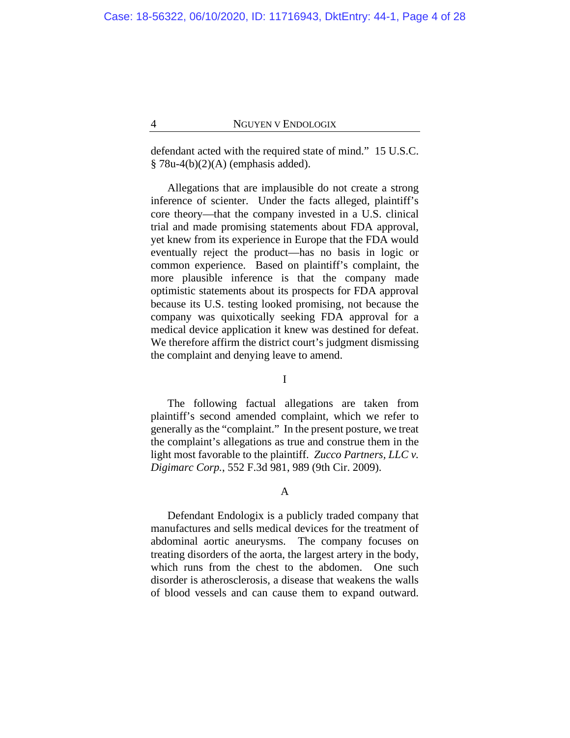defendant acted with the required state of mind." 15 U.S.C.  $§ 78u-4(b)(2)(A)$  (emphasis added).

Allegations that are implausible do not create a strong inference of scienter. Under the facts alleged, plaintiff's core theory—that the company invested in a U.S. clinical trial and made promising statements about FDA approval, yet knew from its experience in Europe that the FDA would eventually reject the product—has no basis in logic or common experience. Based on plaintiff's complaint, the more plausible inference is that the company made optimistic statements about its prospects for FDA approval because its U.S. testing looked promising, not because the company was quixotically seeking FDA approval for a medical device application it knew was destined for defeat. We therefore affirm the district court's judgment dismissing the complaint and denying leave to amend.

I

The following factual allegations are taken from plaintiff's second amended complaint, which we refer to generally as the "complaint." In the present posture, we treat the complaint's allegations as true and construe them in the light most favorable to the plaintiff. *Zucco Partners, LLC v. Digimarc Corp.*, 552 F.3d 981, 989 (9th Cir. 2009).

A

Defendant Endologix is a publicly traded company that manufactures and sells medical devices for the treatment of abdominal aortic aneurysms. The company focuses on treating disorders of the aorta, the largest artery in the body, which runs from the chest to the abdomen. One such disorder is atherosclerosis, a disease that weakens the walls of blood vessels and can cause them to expand outward.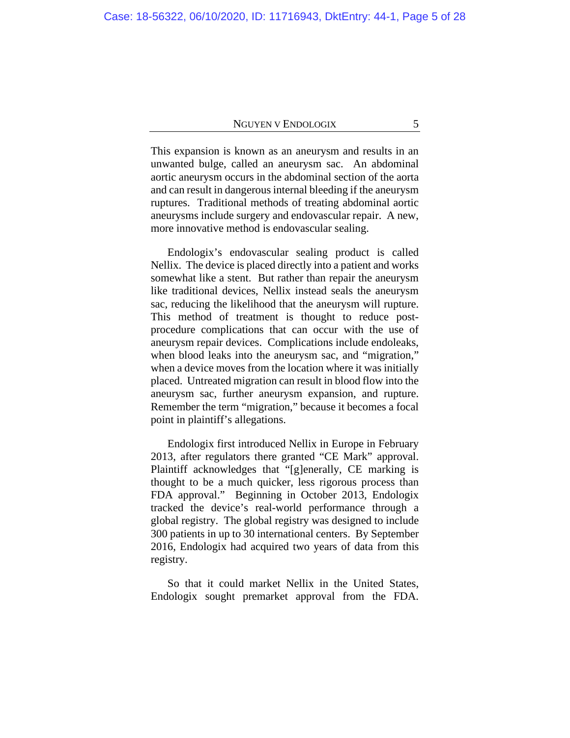This expansion is known as an aneurysm and results in an unwanted bulge, called an aneurysm sac. An abdominal aortic aneurysm occurs in the abdominal section of the aorta and can result in dangerous internal bleeding if the aneurysm ruptures. Traditional methods of treating abdominal aortic aneurysms include surgery and endovascular repair. A new, more innovative method is endovascular sealing.

Endologix's endovascular sealing product is called Nellix. The device is placed directly into a patient and works somewhat like a stent. But rather than repair the aneurysm like traditional devices, Nellix instead seals the aneurysm sac, reducing the likelihood that the aneurysm will rupture. This method of treatment is thought to reduce postprocedure complications that can occur with the use of aneurysm repair devices. Complications include endoleaks, when blood leaks into the aneurysm sac, and "migration," when a device moves from the location where it was initially placed. Untreated migration can result in blood flow into the aneurysm sac, further aneurysm expansion, and rupture. Remember the term "migration," because it becomes a focal point in plaintiff's allegations.

Endologix first introduced Nellix in Europe in February 2013, after regulators there granted "CE Mark" approval. Plaintiff acknowledges that "[g]enerally, CE marking is thought to be a much quicker, less rigorous process than FDA approval." Beginning in October 2013, Endologix tracked the device's real-world performance through a global registry. The global registry was designed to include 300 patients in up to 30 international centers. By September 2016, Endologix had acquired two years of data from this registry.

So that it could market Nellix in the United States, Endologix sought premarket approval from the FDA.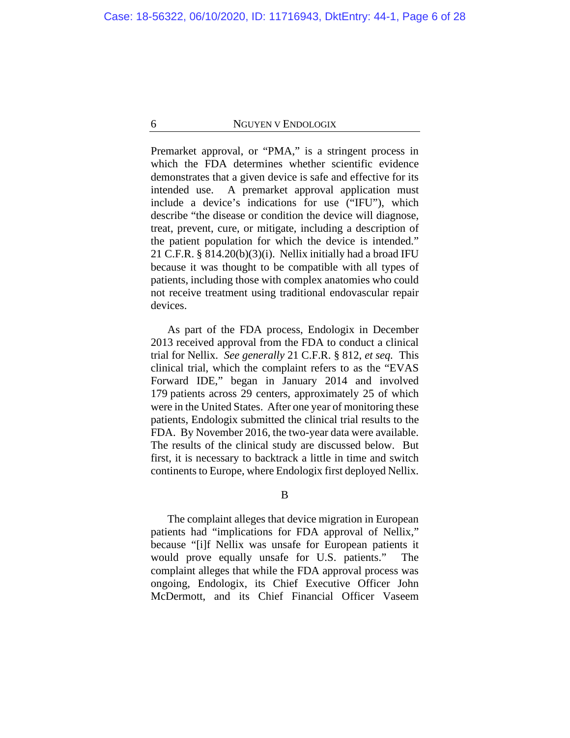Premarket approval, or "PMA," is a stringent process in which the FDA determines whether scientific evidence demonstrates that a given device is safe and effective for its intended use. A premarket approval application must include a device's indications for use ("IFU"), which describe "the disease or condition the device will diagnose, treat, prevent, cure, or mitigate, including a description of the patient population for which the device is intended." 21 C.F.R.  $\S 814.20(b)(3)(i)$ . Nellix initially had a broad IFU because it was thought to be compatible with all types of patients, including those with complex anatomies who could not receive treatment using traditional endovascular repair devices.

As part of the FDA process, Endologix in December 2013 received approval from the FDA to conduct a clinical trial for Nellix. *See generally* 21 C.F.R. § 812, *et seq.* This clinical trial, which the complaint refers to as the "EVAS Forward IDE," began in January 2014 and involved 179 patients across 29 centers, approximately 25 of which were in the United States. After one year of monitoring these patients, Endologix submitted the clinical trial results to the FDA. By November 2016, the two-year data were available. The results of the clinical study are discussed below. But first, it is necessary to backtrack a little in time and switch continents to Europe, where Endologix first deployed Nellix.

B

The complaint alleges that device migration in European patients had "implications for FDA approval of Nellix," because "[i]f Nellix was unsafe for European patients it would prove equally unsafe for U.S. patients." The complaint alleges that while the FDA approval process was ongoing, Endologix, its Chief Executive Officer John McDermott, and its Chief Financial Officer Vaseem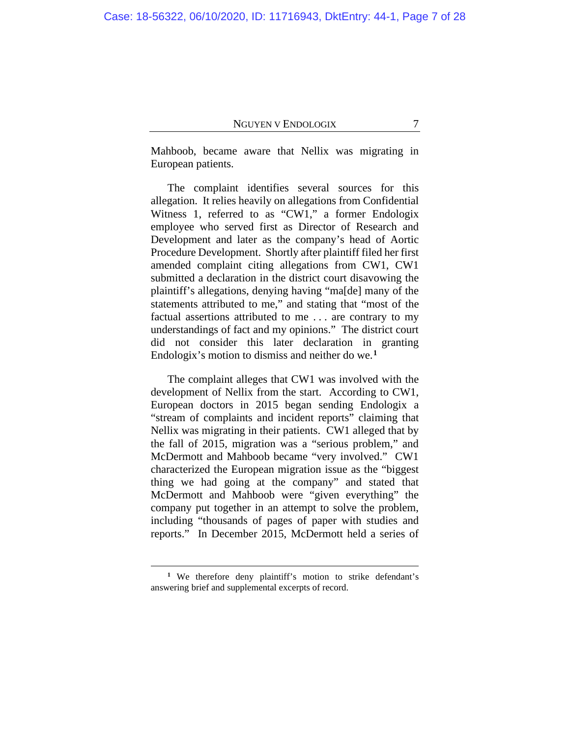Mahboob, became aware that Nellix was migrating in European patients.

The complaint identifies several sources for this allegation. It relies heavily on allegations from Confidential Witness 1, referred to as "CW1," a former Endologix employee who served first as Director of Research and Development and later as the company's head of Aortic Procedure Development. Shortly after plaintiff filed her first amended complaint citing allegations from CW1, CW1 submitted a declaration in the district court disavowing the plaintiff's allegations, denying having "ma[de] many of the statements attributed to me," and stating that "most of the factual assertions attributed to me . . . are contrary to my understandings of fact and my opinions." The district court did not consider this later declaration in granting Endologix's motion to dismiss and neither do we.**<sup>1</sup>**

The complaint alleges that CW1 was involved with the development of Nellix from the start. According to CW1, European doctors in 2015 began sending Endologix a "stream of complaints and incident reports" claiming that Nellix was migrating in their patients. CW1 alleged that by the fall of 2015, migration was a "serious problem," and McDermott and Mahboob became "very involved." CW1 characterized the European migration issue as the "biggest thing we had going at the company" and stated that McDermott and Mahboob were "given everything" the company put together in an attempt to solve the problem, including "thousands of pages of paper with studies and reports." In December 2015, McDermott held a series of

<sup>&</sup>lt;sup>1</sup> We therefore deny plaintiff's motion to strike defendant's answering brief and supplemental excerpts of record.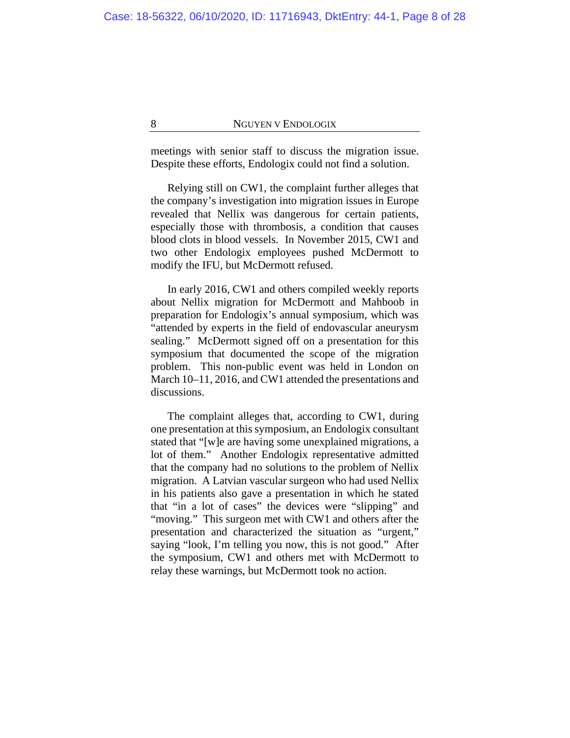meetings with senior staff to discuss the migration issue. Despite these efforts, Endologix could not find a solution.

Relying still on CW1, the complaint further alleges that the company's investigation into migration issues in Europe revealed that Nellix was dangerous for certain patients, especially those with thrombosis, a condition that causes blood clots in blood vessels. In November 2015, CW1 and two other Endologix employees pushed McDermott to modify the IFU, but McDermott refused.

In early 2016, CW1 and others compiled weekly reports about Nellix migration for McDermott and Mahboob in preparation for Endologix's annual symposium, which was "attended by experts in the field of endovascular aneurysm sealing." McDermott signed off on a presentation for this symposium that documented the scope of the migration problem. This non-public event was held in London on March 10–11, 2016, and CW1 attended the presentations and discussions.

The complaint alleges that, according to CW1, during one presentation at this symposium, an Endologix consultant stated that "[w]e are having some unexplained migrations, a lot of them." Another Endologix representative admitted that the company had no solutions to the problem of Nellix migration.A Latvian vascular surgeon who had used Nellix in his patients also gave a presentation in which he stated that "in a lot of cases" the devices were "slipping" and "moving." This surgeon met with CW1 and others after the presentation and characterized the situation as "urgent," saying "look, I'm telling you now, this is not good." After the symposium, CW1 and others met with McDermott to relay these warnings, but McDermott took no action.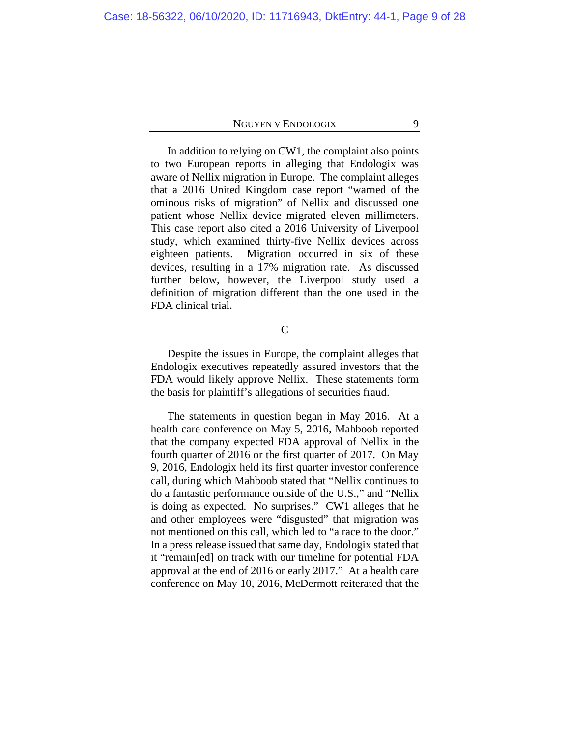In addition to relying on CW1, the complaint also points to two European reports in alleging that Endologix was aware of Nellix migration in Europe. The complaint alleges that a 2016 United Kingdom case report "warned of the ominous risks of migration" of Nellix and discussed one patient whose Nellix device migrated eleven millimeters. This case report also cited a 2016 University of Liverpool study, which examined thirty-five Nellix devices across eighteen patients. Migration occurred in six of these devices, resulting in a 17% migration rate. As discussed further below, however, the Liverpool study used a definition of migration different than the one used in the FDA clinical trial.

 $\mathcal{C}$ 

Despite the issues in Europe, the complaint alleges that Endologix executives repeatedly assured investors that the FDA would likely approve Nellix. These statements form the basis for plaintiff's allegations of securities fraud.

The statements in question began in May 2016. At a health care conference on May 5, 2016, Mahboob reported that the company expected FDA approval of Nellix in the fourth quarter of 2016 or the first quarter of 2017. On May 9, 2016, Endologix held its first quarter investor conference call, during which Mahboob stated that "Nellix continues to do a fantastic performance outside of the U.S.," and "Nellix is doing as expected. No surprises." CW1 alleges that he and other employees were "disgusted" that migration was not mentioned on this call, which led to "a race to the door." In a press release issued that same day, Endologix stated that it "remain[ed] on track with our timeline for potential FDA approval at the end of 2016 or early 2017." At a health care conference on May 10, 2016, McDermott reiterated that the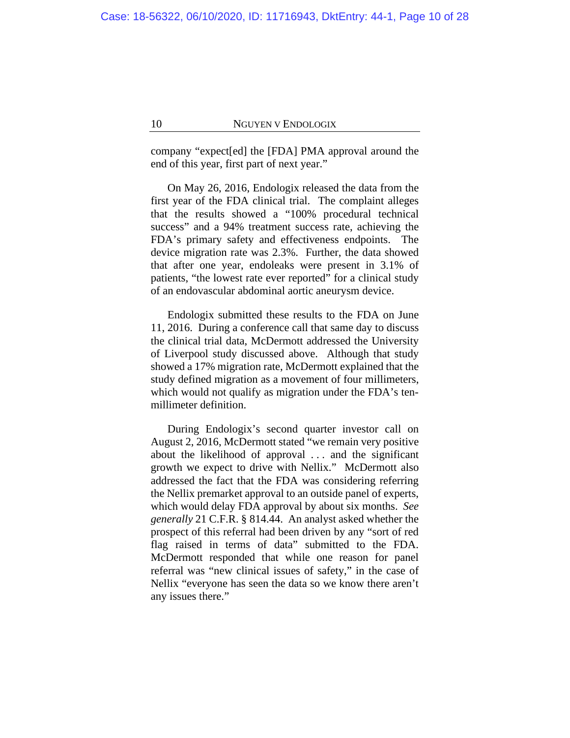company "expect[ed] the [FDA] PMA approval around the end of this year, first part of next year."

On May 26, 2016, Endologix released the data from the first year of the FDA clinical trial. The complaint alleges that the results showed a "100% procedural technical success" and a 94% treatment success rate, achieving the FDA's primary safety and effectiveness endpoints. The device migration rate was 2.3%. Further, the data showed that after one year, endoleaks were present in 3.1% of patients, "the lowest rate ever reported" for a clinical study of an endovascular abdominal aortic aneurysm device.

Endologix submitted these results to the FDA on June 11, 2016. During a conference call that same day to discuss the clinical trial data, McDermott addressed the University of Liverpool study discussed above. Although that study showed a 17% migration rate, McDermott explained that the study defined migration as a movement of four millimeters, which would not qualify as migration under the FDA's tenmillimeter definition.

During Endologix's second quarter investor call on August 2, 2016, McDermott stated "we remain very positive about the likelihood of approval . . . and the significant growth we expect to drive with Nellix." McDermott also addressed the fact that the FDA was considering referring the Nellix premarket approval to an outside panel of experts, which would delay FDA approval by about six months. *See generally* 21 C.F.R. § 814.44. An analyst asked whether the prospect of this referral had been driven by any "sort of red flag raised in terms of data" submitted to the FDA. McDermott responded that while one reason for panel referral was "new clinical issues of safety," in the case of Nellix "everyone has seen the data so we know there aren't any issues there."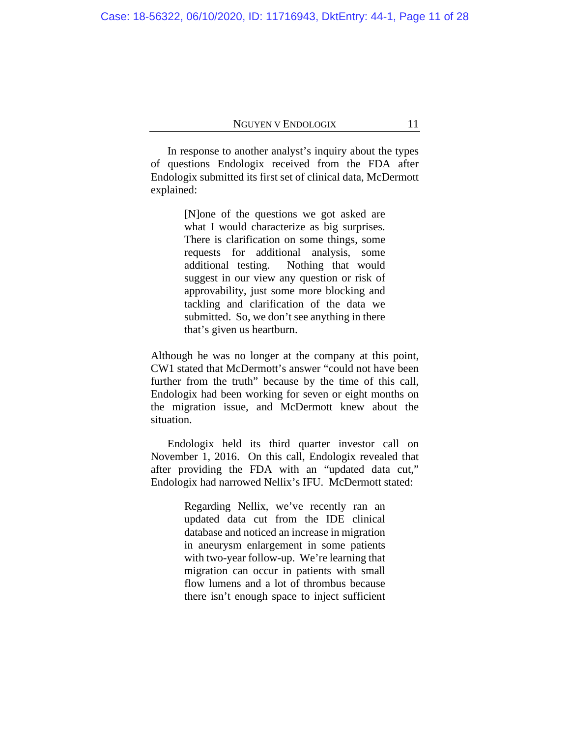In response to another analyst's inquiry about the types of questions Endologix received from the FDA after Endologix submitted its first set of clinical data, McDermott explained:

> [N]one of the questions we got asked are what I would characterize as big surprises. There is clarification on some things, some requests for additional analysis, some additional testing. Nothing that would suggest in our view any question or risk of approvability, just some more blocking and tackling and clarification of the data we submitted. So, we don't see anything in there that's given us heartburn.

Although he was no longer at the company at this point, CW1 stated that McDermott's answer "could not have been further from the truth" because by the time of this call, Endologix had been working for seven or eight months on the migration issue, and McDermott knew about the situation.

Endologix held its third quarter investor call on November 1, 2016. On this call, Endologix revealed that after providing the FDA with an "updated data cut," Endologix had narrowed Nellix's IFU. McDermott stated:

> Regarding Nellix, we've recently ran an updated data cut from the IDE clinical database and noticed an increase in migration in aneurysm enlargement in some patients with two-year follow-up. We're learning that migration can occur in patients with small flow lumens and a lot of thrombus because there isn't enough space to inject sufficient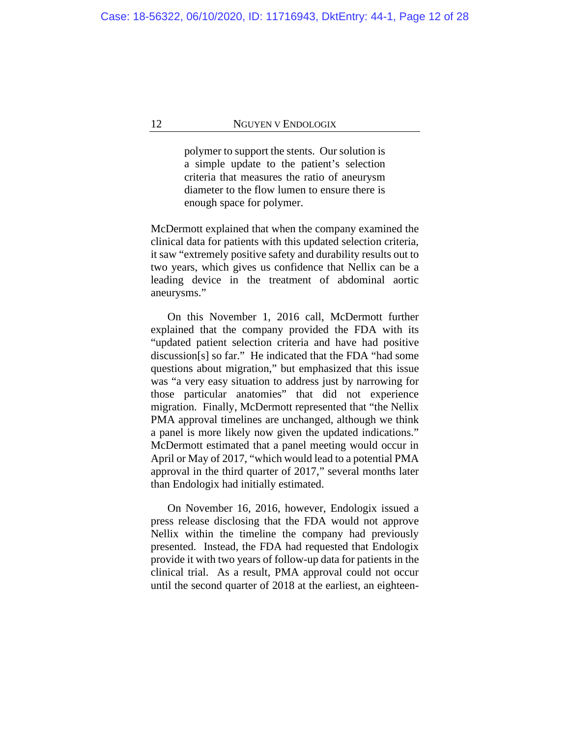polymer to support the stents. Our solution is a simple update to the patient's selection criteria that measures the ratio of aneurysm diameter to the flow lumen to ensure there is enough space for polymer.

McDermott explained that when the company examined the clinical data for patients with this updated selection criteria, it saw "extremely positive safety and durability results out to two years, which gives us confidence that Nellix can be a leading device in the treatment of abdominal aortic aneurysms."

On this November 1, 2016 call, McDermott further explained that the company provided the FDA with its "updated patient selection criteria and have had positive discussion[s] so far." He indicated that the FDA "had some questions about migration," but emphasized that this issue was "a very easy situation to address just by narrowing for those particular anatomies" that did not experience migration.Finally, McDermott represented that "the Nellix PMA approval timelines are unchanged, although we think a panel is more likely now given the updated indications." McDermott estimated that a panel meeting would occur in April or May of 2017, "which would lead to a potential PMA approval in the third quarter of 2017," several months later than Endologix had initially estimated.

On November 16, 2016, however, Endologix issued a press release disclosing that the FDA would not approve Nellix within the timeline the company had previously presented. Instead, the FDA had requested that Endologix provide it with two years of follow-up data for patients in the clinical trial. As a result, PMA approval could not occur until the second quarter of 2018 at the earliest, an eighteen-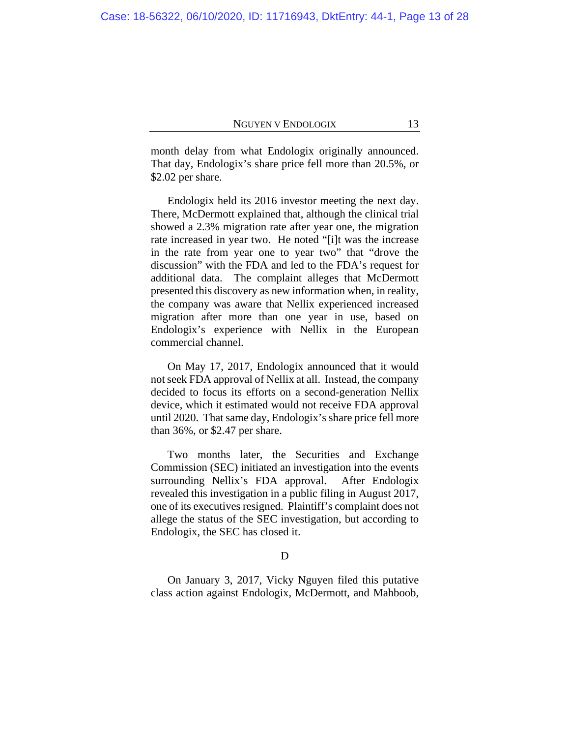month delay from what Endologix originally announced. That day, Endologix's share price fell more than 20.5%, or \$2.02 per share.

Endologix held its 2016 investor meeting the next day. There, McDermott explained that, although the clinical trial showed a 2.3% migration rate after year one, the migration rate increased in year two. He noted "[i]t was the increase in the rate from year one to year two" that "drove the discussion" with the FDA and led to the FDA's request for additional data. The complaint alleges that McDermott presented this discovery as new information when, in reality, the company was aware that Nellix experienced increased migration after more than one year in use, based on Endologix's experience with Nellix in the European commercial channel.

On May 17, 2017, Endologix announced that it would not seek FDA approval of Nellix at all. Instead, the company decided to focus its efforts on a second-generation Nellix device, which it estimated would not receive FDA approval until 2020. That same day, Endologix's share price fell more than 36%, or \$2.47 per share.

Two months later, the Securities and Exchange Commission (SEC) initiated an investigation into the events surrounding Nellix's FDA approval. After Endologix revealed this investigation in a public filing in August 2017, one of its executives resigned. Plaintiff's complaint does not allege the status of the SEC investigation, but according to Endologix, the SEC has closed it.

# D

On January 3, 2017, Vicky Nguyen filed this putative class action against Endologix, McDermott, and Mahboob,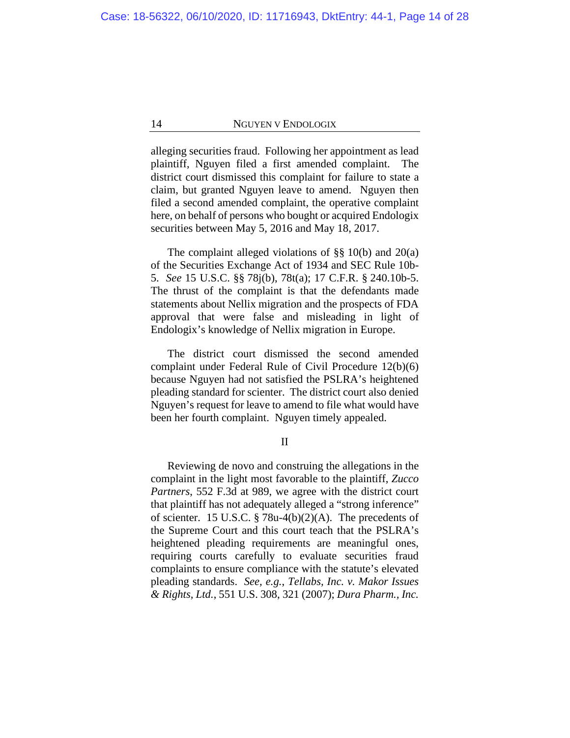alleging securities fraud.Following her appointment as lead plaintiff, Nguyen filed a first amended complaint. The district court dismissed this complaint for failure to state a claim, but granted Nguyen leave to amend. Nguyen then filed a second amended complaint, the operative complaint here, on behalf of persons who bought or acquired Endologix securities between May 5, 2016 and May 18, 2017.

The complaint alleged violations of  $\S$ § 10(b) and 20(a) of the Securities Exchange Act of 1934 and SEC Rule 10b-5. *See* 15 U.S.C. §§ 78j(b), 78t(a); 17 C.F.R. § 240.10b-5. The thrust of the complaint is that the defendants made statements about Nellix migration and the prospects of FDA approval that were false and misleading in light of Endologix's knowledge of Nellix migration in Europe.

The district court dismissed the second amended complaint under Federal Rule of Civil Procedure 12(b)(6) because Nguyen had not satisfied the PSLRA's heightened pleading standard for scienter. The district court also denied Nguyen's request for leave to amend to file what would have been her fourth complaint. Nguyen timely appealed.

# II

Reviewing de novo and construing the allegations in the complaint in the light most favorable to the plaintiff, *Zucco Partners*, 552 F.3d at 989, we agree with the district court that plaintiff has not adequately alleged a "strong inference" of scienter. 15 U.S.C. § 78u-4(b)(2)(A). The precedents of the Supreme Court and this court teach that the PSLRA's heightened pleading requirements are meaningful ones, requiring courts carefully to evaluate securities fraud complaints to ensure compliance with the statute's elevated pleading standards. *See, e.g.*, *Tellabs, Inc. v. Makor Issues & Rights, Ltd.*, 551 U.S. 308, 321 (2007); *Dura Pharm., Inc.*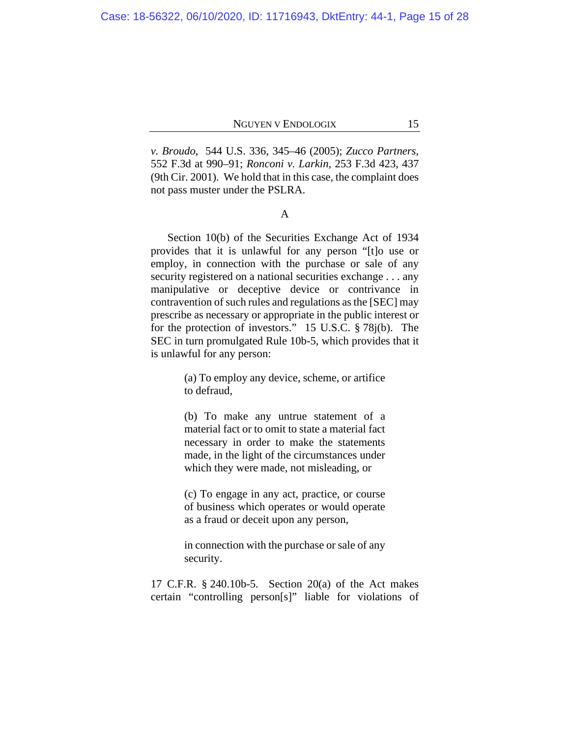*v. Broudo*, 544 U.S. 336, 345–46 (2005); *Zucco Partners*, 552 F.3d at 990–91; *Ronconi v. Larkin*, 253 F.3d 423, 437 (9th Cir. 2001). We hold that in this case, the complaint does not pass muster under the PSLRA.

A

Section 10(b) of the Securities Exchange Act of 1934 provides that it is unlawful for any person "[t]o use or employ, in connection with the purchase or sale of any security registered on a national securities exchange . . . any manipulative or deceptive device or contrivance in contravention of such rules and regulations as the [SEC] may prescribe as necessary or appropriate in the public interest or for the protection of investors." 15 U.S.C. § 78j(b). The SEC in turn promulgated Rule 10b-5, which provides that it is unlawful for any person:

> (a) To employ any device, scheme, or artifice to defraud,

> (b) To make any untrue statement of a material fact or to omit to state a material fact necessary in order to make the statements made, in the light of the circumstances under which they were made, not misleading, or

> (c) To engage in any act, practice, or course of business which operates or would operate as a fraud or deceit upon any person,

> in connection with the purchase or sale of any security.

17 C.F.R. § 240.10b-5. Section 20(a) of the Act makes certain "controlling person[s]" liable for violations of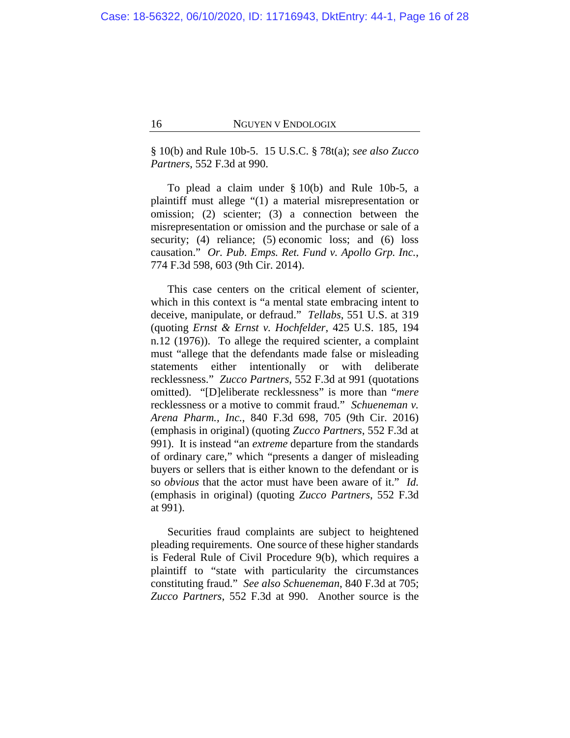§ 10(b) and Rule 10b-5. 15 U.S.C. § 78t(a); *see also Zucco Partners*, 552 F.3d at 990.

To plead a claim under § 10(b) and Rule 10b-5, a plaintiff must allege "(1) a material misrepresentation or omission; (2) scienter; (3) a connection between the misrepresentation or omission and the purchase or sale of a security; (4) reliance; (5) economic loss; and (6) loss causation." *Or. Pub. Emps. Ret. Fund v. Apollo Grp. Inc.*, 774 F.3d 598, 603 (9th Cir. 2014).

This case centers on the critical element of scienter, which in this context is "a mental state embracing intent to deceive, manipulate, or defraud." *Tellabs*, 551 U.S. at 319 (quoting *Ernst & Ernst v. Hochfelder*, 425 U.S. 185, 194 n.12 (1976)). To allege the required scienter, a complaint must "allege that the defendants made false or misleading statements either intentionally or with deliberate recklessness." *Zucco Partners*, 552 F.3d at 991 (quotations omitted). "[D]eliberate recklessness" is more than "*mere* recklessness or a motive to commit fraud." *Schueneman v. Arena Pharm., Inc.*, 840 F.3d 698, 705 (9th Cir. 2016) (emphasis in original) (quoting *Zucco Partners*, 552 F.3d at 991). It is instead "an *extreme* departure from the standards of ordinary care," which "presents a danger of misleading buyers or sellers that is either known to the defendant or is so *obvious* that the actor must have been aware of it." *Id.* (emphasis in original) (quoting *Zucco Partners*, 552 F.3d at 991).

Securities fraud complaints are subject to heightened pleading requirements. One source of these higher standards is Federal Rule of Civil Procedure 9(b), which requires a plaintiff to "state with particularity the circumstances constituting fraud." *See also Schueneman*, 840 F.3d at 705; *Zucco Partners*, 552 F.3d at 990. Another source is the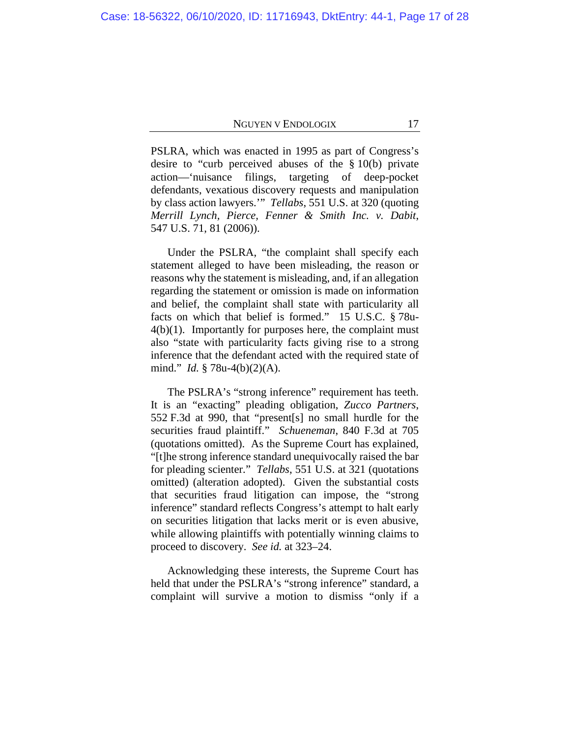PSLRA, which was enacted in 1995 as part of Congress's desire to "curb perceived abuses of the § 10(b) private action—'nuisance filings, targeting of deep-pocket defendants, vexatious discovery requests and manipulation by class action lawyers.'" *Tellabs*, 551 U.S. at 320 (quoting *Merrill Lynch, Pierce, Fenner & Smith Inc. v. Dabit*, 547 U.S. 71, 81 (2006)).

Under the PSLRA, "the complaint shall specify each statement alleged to have been misleading, the reason or reasons why the statement is misleading, and, if an allegation regarding the statement or omission is made on information and belief, the complaint shall state with particularity all facts on which that belief is formed." 15 U.S.C. § 78u- $4(b)(1)$ . Importantly for purposes here, the complaint must also "state with particularity facts giving rise to a strong inference that the defendant acted with the required state of mind." *Id.* § 78u-4(b)(2)(A).

The PSLRA's "strong inference" requirement has teeth. It is an "exacting" pleading obligation, *Zucco Partners*, 552 F.3d at 990, that "present[s] no small hurdle for the securities fraud plaintiff." *Schueneman*, 840 F.3d at 705 (quotations omitted). As the Supreme Court has explained, "[t]he strong inference standard unequivocally raised the bar for pleading scienter." *Tellabs*, 551 U.S. at 321 (quotations omitted) (alteration adopted). Given the substantial costs that securities fraud litigation can impose, the "strong inference" standard reflects Congress's attempt to halt early on securities litigation that lacks merit or is even abusive, while allowing plaintiffs with potentially winning claims to proceed to discovery. *See id.* at 323–24.

Acknowledging these interests, the Supreme Court has held that under the PSLRA's "strong inference" standard, a complaint will survive a motion to dismiss "only if a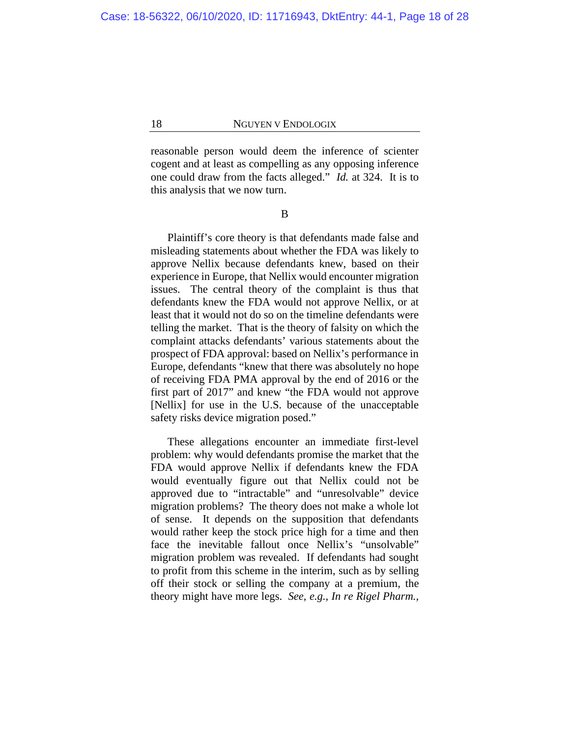reasonable person would deem the inference of scienter cogent and at least as compelling as any opposing inference one could draw from the facts alleged." *Id.* at 324. It is to this analysis that we now turn.

B

Plaintiff's core theory is that defendants made false and misleading statements about whether the FDA was likely to approve Nellix because defendants knew, based on their experience in Europe, that Nellix would encounter migration issues. The central theory of the complaint is thus that defendants knew the FDA would not approve Nellix, or at least that it would not do so on the timeline defendants were telling the market. That is the theory of falsity on which the complaint attacks defendants' various statements about the prospect of FDA approval: based on Nellix's performance in Europe, defendants "knew that there was absolutely no hope of receiving FDA PMA approval by the end of 2016 or the first part of 2017" and knew "the FDA would not approve [Nellix] for use in the U.S. because of the unacceptable safety risks device migration posed."

These allegations encounter an immediate first-level problem: why would defendants promise the market that the FDA would approve Nellix if defendants knew the FDA would eventually figure out that Nellix could not be approved due to "intractable" and "unresolvable" device migration problems? The theory does not make a whole lot of sense. It depends on the supposition that defendants would rather keep the stock price high for a time and then face the inevitable fallout once Nellix's "unsolvable" migration problem was revealed. If defendants had sought to profit from this scheme in the interim, such as by selling off their stock or selling the company at a premium, the theory might have more legs. *See, e.g.*, *In re Rigel Pharm.,*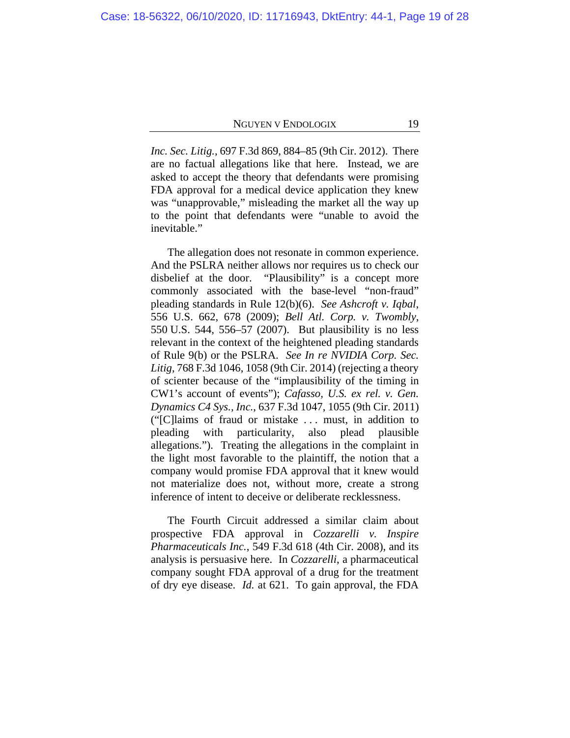*Inc. Sec. Litig.*, 697 F.3d 869, 884–85 (9th Cir. 2012). There are no factual allegations like that here. Instead, we are asked to accept the theory that defendants were promising FDA approval for a medical device application they knew was "unapprovable," misleading the market all the way up to the point that defendants were "unable to avoid the inevitable."

The allegation does not resonate in common experience. And the PSLRA neither allows nor requires us to check our disbelief at the door. "Plausibility" is a concept more commonly associated with the base-level "non-fraud" pleading standards in Rule 12(b)(6). *See Ashcroft v. Iqbal*, 556 U.S. 662, 678 (2009); *Bell Atl. Corp. v. Twombly*, 550 U.S. 544, 556–57 (2007). But plausibility is no less relevant in the context of the heightened pleading standards of Rule 9(b) or the PSLRA. *See In re NVIDIA Corp. Sec. Litig*, 768 F.3d 1046, 1058 (9th Cir. 2014) (rejecting a theory of scienter because of the "implausibility of the timing in CW1's account of events"); *Cafasso, U.S. ex rel. v. Gen. Dynamics C4 Sys., Inc.*, 637 F.3d 1047, 1055 (9th Cir. 2011) ("[C]laims of fraud or mistake . . . must, in addition to pleading with particularity, also plead plausible allegations."). Treating the allegations in the complaint in the light most favorable to the plaintiff, the notion that a company would promise FDA approval that it knew would not materialize does not, without more, create a strong inference of intent to deceive or deliberate recklessness.

The Fourth Circuit addressed a similar claim about prospective FDA approval in *Cozzarelli v. Inspire Pharmaceuticals Inc.*, 549 F.3d 618 (4th Cir. 2008), and its analysis is persuasive here. In *Cozzarelli*, a pharmaceutical company sought FDA approval of a drug for the treatment of dry eye disease. *Id.* at 621. To gain approval, the FDA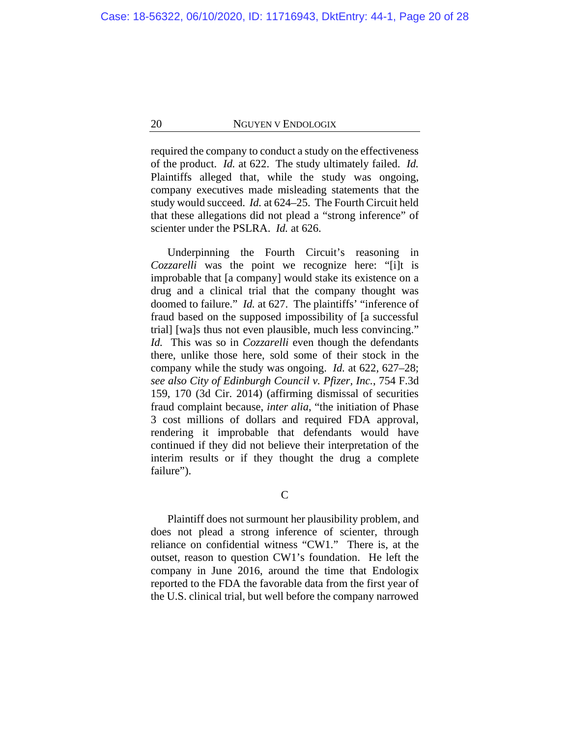required the company to conduct a study on the effectiveness of the product. *Id.* at 622. The study ultimately failed. *Id.* Plaintiffs alleged that, while the study was ongoing, company executives made misleading statements that the study would succeed. *Id.* at 624–25. The Fourth Circuit held that these allegations did not plead a "strong inference" of scienter under the PSLRA. *Id.* at 626.

Underpinning the Fourth Circuit's reasoning in *Cozzarelli* was the point we recognize here: "[i]t is improbable that [a company] would stake its existence on a drug and a clinical trial that the company thought was doomed to failure." *Id.* at 627. The plaintiffs' "inference of fraud based on the supposed impossibility of [a successful trial] [wa]s thus not even plausible, much less convincing." *Id.* This was so in *Cozzarelli* even though the defendants there, unlike those here, sold some of their stock in the company while the study was ongoing. *Id.* at 622, 627–28; *see also City of Edinburgh Council v. Pfizer, Inc.*, 754 F.3d 159, 170 (3d Cir. 2014) (affirming dismissal of securities fraud complaint because, *inter alia*, "the initiation of Phase 3 cost millions of dollars and required FDA approval, rendering it improbable that defendants would have continued if they did not believe their interpretation of the interim results or if they thought the drug a complete failure").

C

Plaintiff does not surmount her plausibility problem, and does not plead a strong inference of scienter, through reliance on confidential witness "CW1." There is, at the outset, reason to question CW1's foundation. He left the company in June 2016, around the time that Endologix reported to the FDA the favorable data from the first year of the U.S. clinical trial, but well before the company narrowed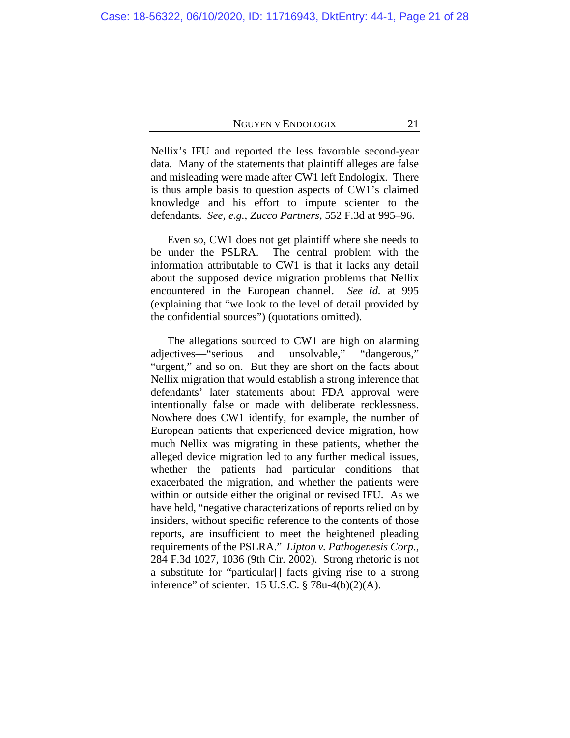Nellix's IFU and reported the less favorable second-year data. Many of the statements that plaintiff alleges are false and misleading were made after CW1 left Endologix. There is thus ample basis to question aspects of CW1's claimed knowledge and his effort to impute scienter to the defendants. *See, e.g.*, *Zucco Partners*, 552 F.3d at 995–96.

Even so, CW1 does not get plaintiff where she needs to be under the PSLRA. The central problem with the information attributable to CW1 is that it lacks any detail about the supposed device migration problems that Nellix encountered in the European channel. *See id.* at 995 (explaining that "we look to the level of detail provided by the confidential sources") (quotations omitted).

The allegations sourced to CW1 are high on alarming adjectives—"serious and unsolvable," "dangerous," "urgent," and so on. But they are short on the facts about Nellix migration that would establish a strong inference that defendants' later statements about FDA approval were intentionally false or made with deliberate recklessness. Nowhere does CW1 identify, for example, the number of European patients that experienced device migration, how much Nellix was migrating in these patients, whether the alleged device migration led to any further medical issues, whether the patients had particular conditions that exacerbated the migration, and whether the patients were within or outside either the original or revised IFU. As we have held, "negative characterizations of reports relied on by insiders, without specific reference to the contents of those reports, are insufficient to meet the heightened pleading requirements of the PSLRA." *Lipton v. Pathogenesis Corp.*, 284 F.3d 1027, 1036 (9th Cir. 2002). Strong rhetoric is not a substitute for "particular[] facts giving rise to a strong inference" of scienter. 15 U.S.C. § 78u-4(b)(2)(A).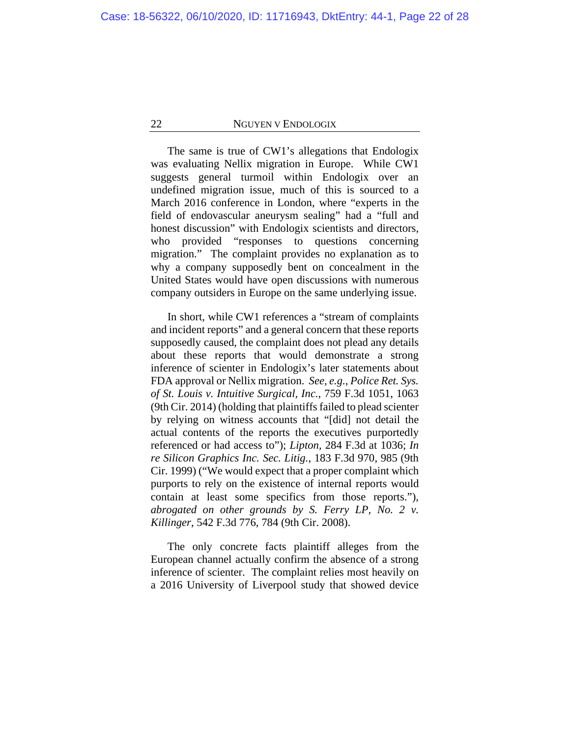The same is true of CW1's allegations that Endologix was evaluating Nellix migration in Europe. While CW1 suggests general turmoil within Endologix over an undefined migration issue, much of this is sourced to a March 2016 conference in London, where "experts in the field of endovascular aneurysm sealing" had a "full and honest discussion" with Endologix scientists and directors, who provided "responses to questions concerning migration." The complaint provides no explanation as to why a company supposedly bent on concealment in the United States would have open discussions with numerous company outsiders in Europe on the same underlying issue.

In short, while CW1 references a "stream of complaints and incident reports" and a general concern that these reports supposedly caused, the complaint does not plead any details about these reports that would demonstrate a strong inference of scienter in Endologix's later statements about FDA approval or Nellix migration. *See, e.g.*, *Police Ret. Sys. of St. Louis v. Intuitive Surgical, Inc.*, 759 F.3d 1051, 1063 (9th Cir. 2014) (holding that plaintiffs failed to plead scienter by relying on witness accounts that "[did] not detail the actual contents of the reports the executives purportedly referenced or had access to"); *Lipton*, 284 F.3d at 1036; *In re Silicon Graphics Inc. Sec. Litig.*, 183 F.3d 970, 985 (9th Cir. 1999) ("We would expect that a proper complaint which purports to rely on the existence of internal reports would contain at least some specifics from those reports."), *abrogated on other grounds by S. Ferry LP, No. 2 v. Killinger*, 542 F.3d 776, 784 (9th Cir. 2008).

The only concrete facts plaintiff alleges from the European channel actually confirm the absence of a strong inference of scienter. The complaint relies most heavily on a 2016 University of Liverpool study that showed device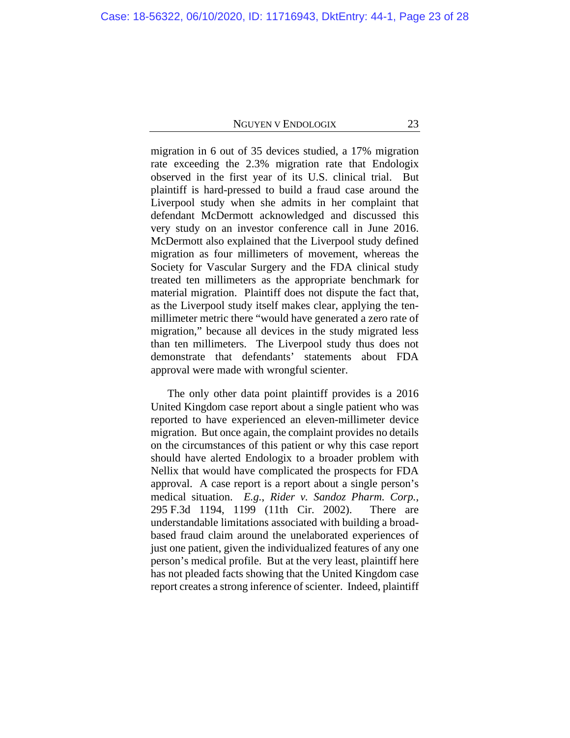migration in 6 out of 35 devices studied, a 17% migration rate exceeding the 2.3% migration rate that Endologix observed in the first year of its U.S. clinical trial. But plaintiff is hard-pressed to build a fraud case around the Liverpool study when she admits in her complaint that defendant McDermott acknowledged and discussed this very study on an investor conference call in June 2016. McDermott also explained that the Liverpool study defined migration as four millimeters of movement, whereas the Society for Vascular Surgery and the FDA clinical study treated ten millimeters as the appropriate benchmark for material migration. Plaintiff does not dispute the fact that, as the Liverpool study itself makes clear, applying the tenmillimeter metric there "would have generated a zero rate of migration," because all devices in the study migrated less than ten millimeters. The Liverpool study thus does not demonstrate that defendants' statements about FDA approval were made with wrongful scienter.

The only other data point plaintiff provides is a 2016 United Kingdom case report about a single patient who was reported to have experienced an eleven-millimeter device migration. But once again, the complaint provides no details on the circumstances of this patient or why this case report should have alerted Endologix to a broader problem with Nellix that would have complicated the prospects for FDA approval. A case report is a report about a single person's medical situation. *E.g.*, *Rider v. Sandoz Pharm. Corp.*, 295 F.3d 1194, 1199 (11th Cir. 2002). There are understandable limitations associated with building a broadbased fraud claim around the unelaborated experiences of just one patient, given the individualized features of any one person's medical profile. But at the very least, plaintiff here has not pleaded facts showing that the United Kingdom case report creates a strong inference of scienter. Indeed, plaintiff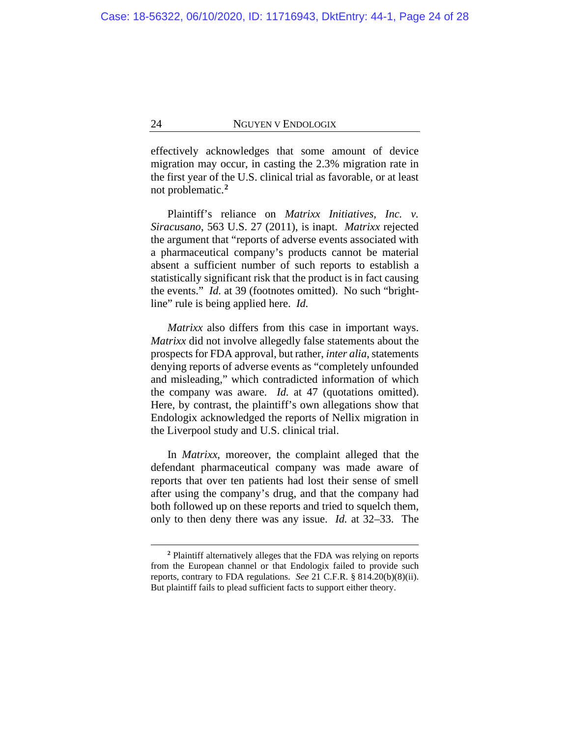effectively acknowledges that some amount of device migration may occur, in casting the 2.3% migration rate in the first year of the U.S. clinical trial as favorable, or at least not problematic.**<sup>2</sup>**

Plaintiff's reliance on *Matrixx Initiatives, Inc. v. Siracusano*, 563 U.S. 27 (2011), is inapt. *Matrixx* rejected the argument that "reports of adverse events associated with a pharmaceutical company's products cannot be material absent a sufficient number of such reports to establish a statistically significant risk that the product is in fact causing the events." *Id.* at 39 (footnotes omitted). No such "brightline" rule is being applied here. *Id.*

*Matrixx* also differs from this case in important ways. *Matrixx* did not involve allegedly false statements about the prospects for FDA approval, but rather, *inter alia*, statements denying reports of adverse events as "completely unfounded and misleading," which contradicted information of which the company was aware. *Id.* at 47 (quotations omitted). Here, by contrast, the plaintiff's own allegations show that Endologix acknowledged the reports of Nellix migration in the Liverpool study and U.S. clinical trial.

In *Matrixx*, moreover, the complaint alleged that the defendant pharmaceutical company was made aware of reports that over ten patients had lost their sense of smell after using the company's drug, and that the company had both followed up on these reports and tried to squelch them, only to then deny there was any issue. *Id.* at 32–33. The

**<sup>2</sup>** Plaintiff alternatively alleges that the FDA was relying on reports from the European channel or that Endologix failed to provide such reports, contrary to FDA regulations. *See* 21 C.F.R. § 814.20(b)(8)(ii). But plaintiff fails to plead sufficient facts to support either theory.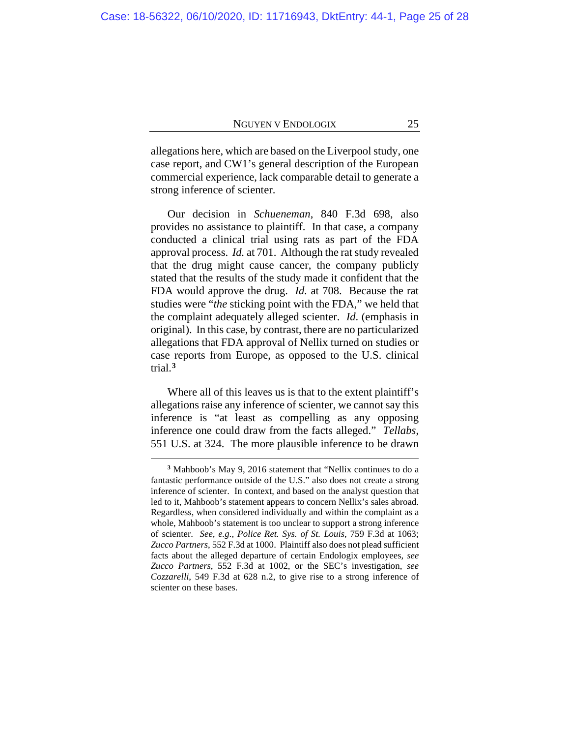allegations here, which are based on the Liverpool study, one case report, and CW1's general description of the European commercial experience, lack comparable detail to generate a strong inference of scienter.

Our decision in *Schueneman*, 840 F.3d 698, also provides no assistance to plaintiff. In that case, a company conducted a clinical trial using rats as part of the FDA approval process. *Id.* at 701. Although the rat study revealed that the drug might cause cancer, the company publicly stated that the results of the study made it confident that the FDA would approve the drug. *Id.* at 708. Because the rat studies were "*the* sticking point with the FDA," we held that the complaint adequately alleged scienter. *Id*. (emphasis in original). In this case, by contrast, there are no particularized allegations that FDA approval of Nellix turned on studies or case reports from Europe, as opposed to the U.S. clinical trial.**<sup>3</sup>**

Where all of this leaves us is that to the extent plaintiff's allegations raise any inference of scienter, we cannot say this inference is "at least as compelling as any opposing inference one could draw from the facts alleged." *Tellabs*, 551 U.S. at 324. The more plausible inference to be drawn

**<sup>3</sup>** Mahboob's May 9, 2016 statement that "Nellix continues to do a fantastic performance outside of the U.S." also does not create a strong inference of scienter. In context, and based on the analyst question that led to it, Mahboob's statement appears to concern Nellix's sales abroad. Regardless, when considered individually and within the complaint as a whole, Mahboob's statement is too unclear to support a strong inference of scienter. *See, e.g.*, *Police Ret. Sys. of St. Louis*, 759 F.3d at 1063; *Zucco Partners*, 552 F.3d at 1000. Plaintiff also does not plead sufficient facts about the alleged departure of certain Endologix employees, *see Zucco Partners*, 552 F.3d at 1002, or the SEC's investigation, *see Cozzarelli*, 549 F.3d at 628 n.2, to give rise to a strong inference of scienter on these bases.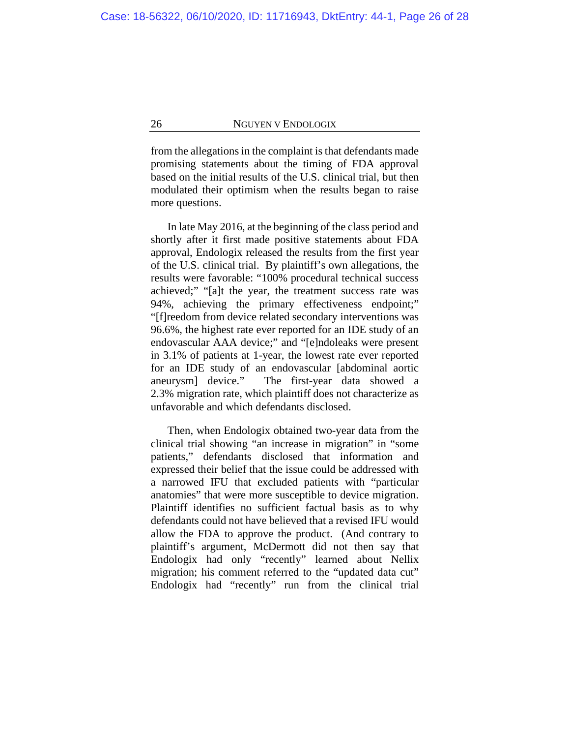from the allegations in the complaint is that defendants made promising statements about the timing of FDA approval based on the initial results of the U.S. clinical trial, but then modulated their optimism when the results began to raise more questions.

In late May 2016, at the beginning of the class period and shortly after it first made positive statements about FDA approval, Endologix released the results from the first year of the U.S. clinical trial. By plaintiff's own allegations, the results were favorable: "100% procedural technical success achieved;" "[a]t the year, the treatment success rate was 94%, achieving the primary effectiveness endpoint;" "[f]reedom from device related secondary interventions was 96.6%, the highest rate ever reported for an IDE study of an endovascular AAA device;" and "[e]ndoleaks were present in 3.1% of patients at 1-year, the lowest rate ever reported for an IDE study of an endovascular [abdominal aortic aneurysm] device."The first-year data showed a 2.3% migration rate, which plaintiff does not characterize as unfavorable and which defendants disclosed.

Then, when Endologix obtained two-year data from the clinical trial showing "an increase in migration" in "some patients," defendants disclosed that information and expressed their belief that the issue could be addressed with a narrowed IFU that excluded patients with "particular anatomies" that were more susceptible to device migration. Plaintiff identifies no sufficient factual basis as to why defendants could not have believed that a revised IFU would allow the FDA to approve the product. (And contrary to plaintiff's argument, McDermott did not then say that Endologix had only "recently" learned about Nellix migration; his comment referred to the "updated data cut" Endologix had "recently" run from the clinical trial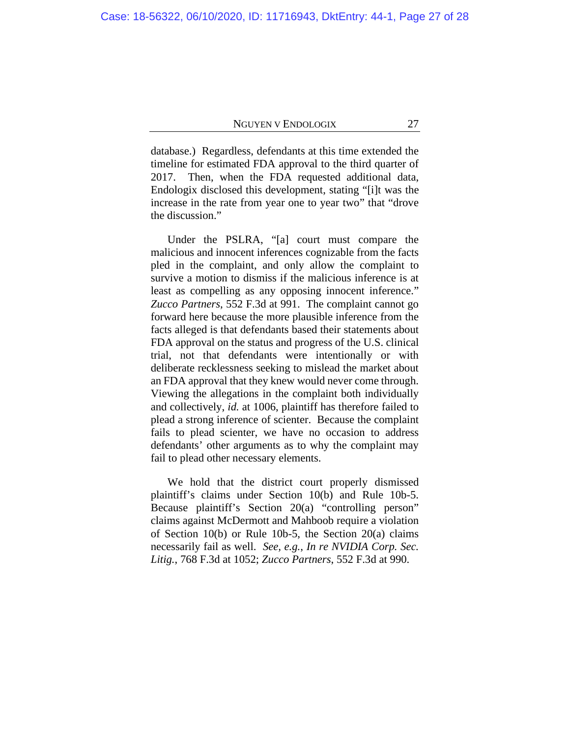database.) Regardless, defendants at this time extended the timeline for estimated FDA approval to the third quarter of 2017. Then, when the FDA requested additional data, Endologix disclosed this development, stating "[i]t was the increase in the rate from year one to year two" that "drove the discussion."

Under the PSLRA, "[a] court must compare the malicious and innocent inferences cognizable from the facts pled in the complaint, and only allow the complaint to survive a motion to dismiss if the malicious inference is at least as compelling as any opposing innocent inference." *Zucco Partners*, 552 F.3d at 991. The complaint cannot go forward here because the more plausible inference from the facts alleged is that defendants based their statements about FDA approval on the status and progress of the U.S. clinical trial, not that defendants were intentionally or with deliberate recklessness seeking to mislead the market about an FDA approval that they knew would never come through. Viewing the allegations in the complaint both individually and collectively, *id.* at 1006, plaintiff has therefore failed to plead a strong inference of scienter. Because the complaint fails to plead scienter, we have no occasion to address defendants' other arguments as to why the complaint may fail to plead other necessary elements.

We hold that the district court properly dismissed plaintiff's claims under Section 10(b) and Rule 10b-5. Because plaintiff's Section 20(a) "controlling person" claims against McDermott and Mahboob require a violation of Section 10(b) or Rule 10b-5, the Section 20(a) claims necessarily fail as well. *See, e.g.*, *In re NVIDIA Corp. Sec. Litig.*, 768 F.3d at 1052; *Zucco Partners*, 552 F.3d at 990.